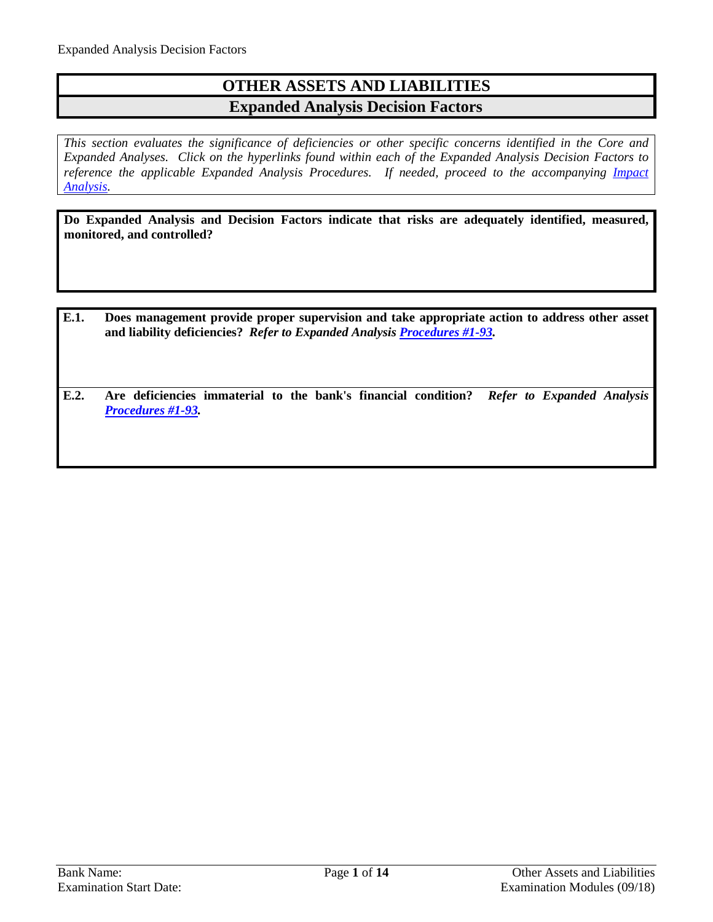## **OTHER ASSETS AND LIABILITIES Expanded Analysis Decision Factors**

*This section evaluates the significance of deficiencies or other specific concerns identified in the Core and Expanded Analyses. Click on the hyperlinks found within each of the Expanded Analysis Decision Factors to*  reference the applicable Expanded Analysis Procedures. If needed, proceed to the accompanying *Impact [Analysis.](#page-13-0)*

**Do Expanded Analysis and Decision Factors indicate that risks are adequately identified, measured, monitored, and controlled?**

- **E.1. Does management provide proper supervision and take appropriate action to address other asset and liability deficiencies?** *Refer to Expanded Analysis [Procedures #1-93.](#page-1-0)*
- **E.2. Are deficiencies immaterial to the bank's financial condition?** *Refer to Expanded Analysis [Procedures #1-93.](#page-1-0)*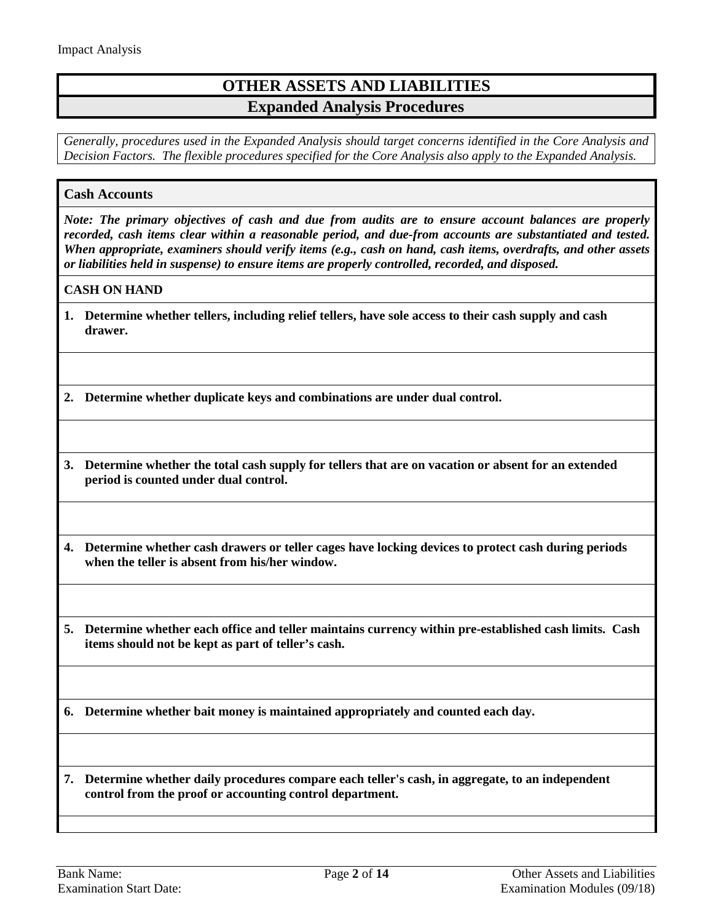## **OTHER ASSETS AND LIABILITIES Expanded Analysis Procedures**

*Generally, procedures used in the Expanded Analysis should target concerns identified in the Core Analysis and Decision Factors. The flexible procedures specified for the Core Analysis also apply to the Expanded Analysis.*

## <span id="page-1-0"></span>**Cash Accounts**

*Note: The primary objectives of cash and due from audits are to ensure account balances are properly recorded, cash items clear within a reasonable period, and due-from accounts are substantiated and tested. When appropriate, examiners should verify items (e.g., cash on hand, cash items, overdrafts, and other assets or liabilities held in suspense) to ensure items are properly controlled, recorded, and disposed.* 

#### **CASH ON HAND**

**1. Determine whether tellers, including relief tellers, have sole access to their cash supply and cash drawer.**

**2. Determine whether duplicate keys and combinations are under dual control.**

**3. Determine whether the total cash supply for tellers that are on vacation or absent for an extended period is counted under dual control.**

**4. Determine whether cash drawers or teller cages have locking devices to protect cash during periods when the teller is absent from his/her window.**

**5. Determine whether each office and teller maintains currency within pre-established cash limits. Cash items should not be kept as part of teller's cash.** 

**6. Determine whether bait money is maintained appropriately and counted each day.**

**7. Determine whether daily procedures compare each teller's cash, in aggregate, to an independent control from the proof or accounting control department.**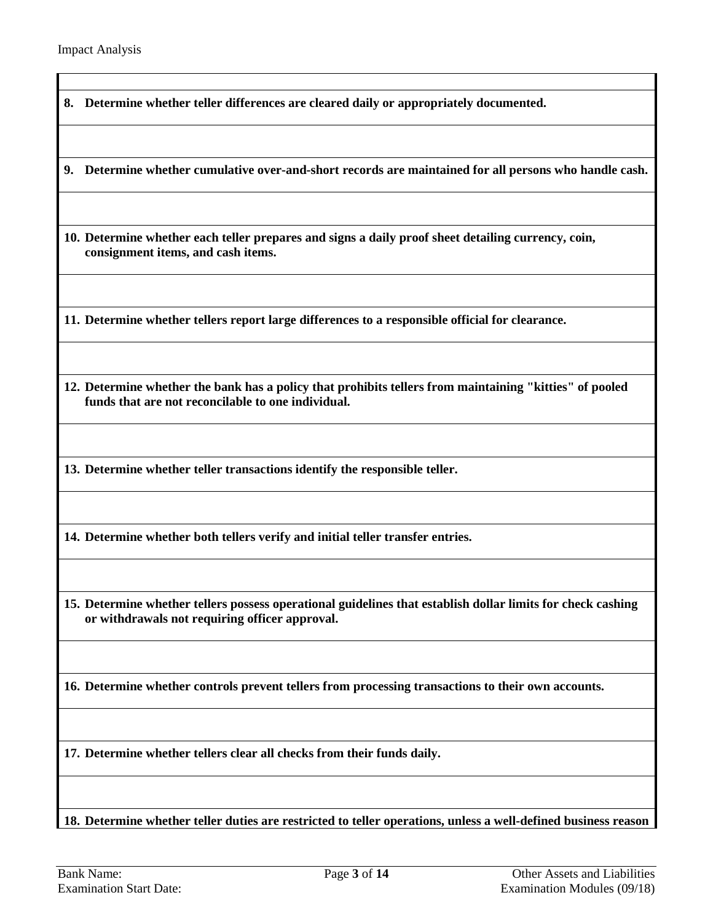$\blacksquare$ 

| 8. | Determine whether teller differences are cleared daily or appropriately documented.                                                                           |
|----|---------------------------------------------------------------------------------------------------------------------------------------------------------------|
| 9. | Determine whether cumulative over-and-short records are maintained for all persons who handle cash.                                                           |
|    | 10. Determine whether each teller prepares and signs a daily proof sheet detailing currency, coin,<br>consignment items, and cash items.                      |
|    | 11. Determine whether tellers report large differences to a responsible official for clearance.                                                               |
|    | 12. Determine whether the bank has a policy that prohibits tellers from maintaining "kitties" of pooled<br>funds that are not reconcilable to one individual. |
|    | 13. Determine whether teller transactions identify the responsible teller.                                                                                    |
|    | 14. Determine whether both tellers verify and initial teller transfer entries.                                                                                |
|    | 15. Determine whether tellers possess operational guidelines that establish dollar limits for check cashing<br>or withdrawals not requiring officer approval. |
|    | 16. Determine whether controls prevent tellers from processing transactions to their own accounts.                                                            |
|    | 17. Determine whether tellers clear all checks from their funds daily.                                                                                        |
|    | 18. Determine whether teller duties are restricted to teller operations, unless a well-defined business reason                                                |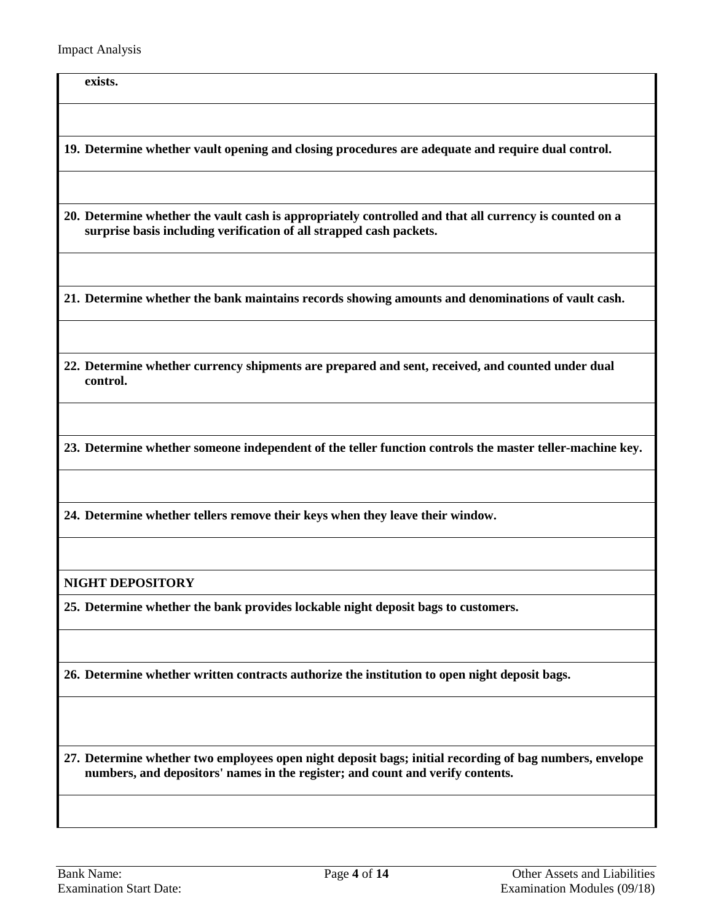**exists.**

**19. Determine whether vault opening and closing procedures are adequate and require dual control.**

**20. Determine whether the vault cash is appropriately controlled and that all currency is counted on a surprise basis including verification of all strapped cash packets.**

**21. Determine whether the bank maintains records showing amounts and denominations of vault cash.**

**22. Determine whether currency shipments are prepared and sent, received, and counted under dual control.**

**23. Determine whether someone independent of the teller function controls the master teller-machine key.**

**24. Determine whether tellers remove their keys when they leave their window.**

**NIGHT DEPOSITORY**

**25. Determine whether the bank provides lockable night deposit bags to customers.**

**26. Determine whether written contracts authorize the institution to open night deposit bags.**

**27. Determine whether two employees open night deposit bags; initial recording of bag numbers, envelope numbers, and depositors' names in the register; and count and verify contents.**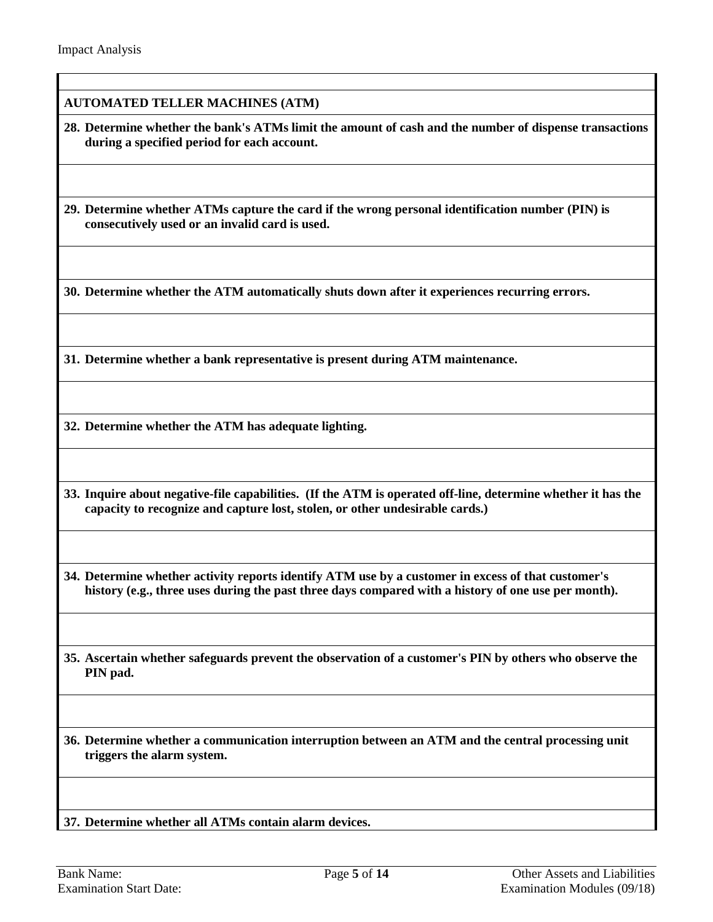### **AUTOMATED TELLER MACHINES (ATM)**

**28. Determine whether the bank's ATMs limit the amount of cash and the number of dispense transactions during a specified period for each account.**

**29. Determine whether ATMs capture the card if the wrong personal identification number (PIN) is consecutively used or an invalid card is used.**

**30. Determine whether the ATM automatically shuts down after it experiences recurring errors.**

**31. Determine whether a bank representative is present during ATM maintenance.**

**32. Determine whether the ATM has adequate lighting.**

**33. Inquire about negative-file capabilities. (If the ATM is operated off-line, determine whether it has the capacity to recognize and capture lost, stolen, or other undesirable cards.)**

**34. Determine whether activity reports identify ATM use by a customer in excess of that customer's history (e.g., three uses during the past three days compared with a history of one use per month).**

**35. Ascertain whether safeguards prevent the observation of a customer's PIN by others who observe the PIN pad.**

**36. Determine whether a communication interruption between an ATM and the central processing unit triggers the alarm system.**

**37. Determine whether all ATMs contain alarm devices.**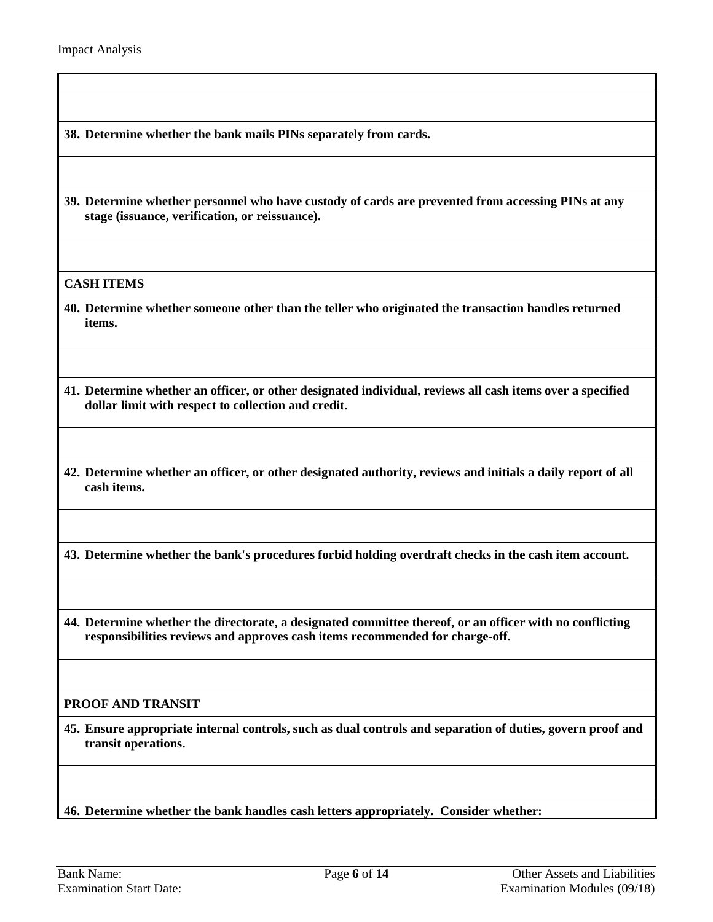**38. Determine whether the bank mails PINs separately from cards.**

**39. Determine whether personnel who have custody of cards are prevented from accessing PINs at any stage (issuance, verification, or reissuance).**

**CASH ITEMS**

- **40. Determine whether someone other than the teller who originated the transaction handles returned items.**
- **41. Determine whether an officer, or other designated individual, reviews all cash items over a specified dollar limit with respect to collection and credit.**
- **42. Determine whether an officer, or other designated authority, reviews and initials a daily report of all cash items.**
- **43. Determine whether the bank's procedures forbid holding overdraft checks in the cash item account.**
- **44. Determine whether the directorate, a designated committee thereof, or an officer with no conflicting responsibilities reviews and approves cash items recommended for charge-off.**

### **PROOF AND TRANSIT**

**45. Ensure appropriate internal controls, such as dual controls and separation of duties, govern proof and transit operations.** 

**46. Determine whether the bank handles cash letters appropriately. Consider whether:**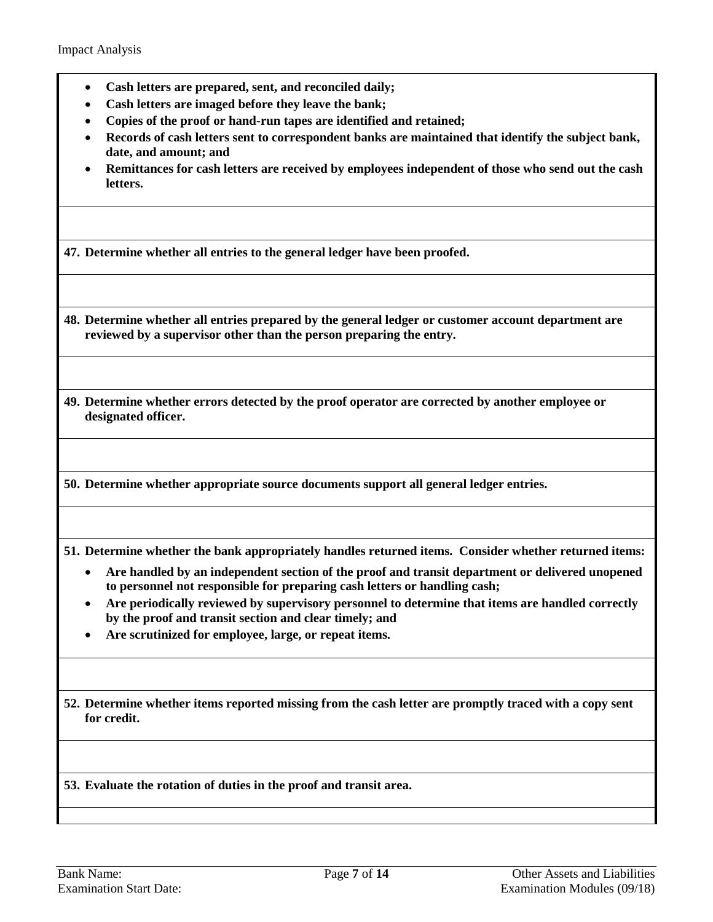- **Cash letters are prepared, sent, and reconciled daily;**
- **Cash letters are imaged before they leave the bank;**
- **Copies of the proof or hand-run tapes are identified and retained;**
- **Records of cash letters sent to correspondent banks are maintained that identify the subject bank, date, and amount; and**
- **Remittances for cash letters are received by employees independent of those who send out the cash letters.**

**47. Determine whether all entries to the general ledger have been proofed.**

**48. Determine whether all entries prepared by the general ledger or customer account department are reviewed by a supervisor other than the person preparing the entry.**

**49. Determine whether errors detected by the proof operator are corrected by another employee or designated officer.**

**50. Determine whether appropriate source documents support all general ledger entries.**

**51. Determine whether the bank appropriately handles returned items. Consider whether returned items:**

- **Are handled by an independent section of the proof and transit department or delivered unopened to personnel not responsible for preparing cash letters or handling cash;**
- **Are periodically reviewed by supervisory personnel to determine that items are handled correctly by the proof and transit section and clear timely; and**
- **Are scrutinized for employee, large, or repeat items.**

**52. Determine whether items reported missing from the cash letter are promptly traced with a copy sent for credit.**

**53. Evaluate the rotation of duties in the proof and transit area.**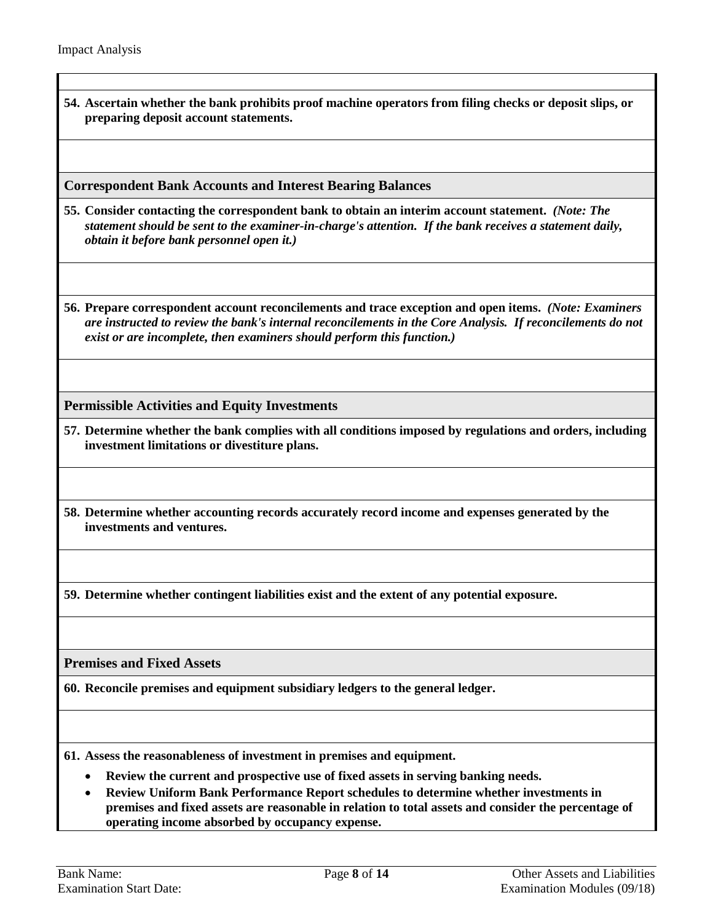**54. Ascertain whether the bank prohibits proof machine operators from filing checks or deposit slips, or preparing deposit account statements.**

**Correspondent Bank Accounts and Interest Bearing Balances**

- **55. Consider contacting the correspondent bank to obtain an interim account statement.** *(Note: The statement should be sent to the examiner-in-charge's attention. If the bank receives a statement daily, obtain it before bank personnel open it.)*
- **56. Prepare correspondent account reconcilements and trace exception and open items.** *(Note: Examiners are instructed to review the bank's internal reconcilements in the Core Analysis. If reconcilements do not exist or are incomplete, then examiners should perform this function.)*

**Permissible Activities and Equity Investments**

- **57. Determine whether the bank complies with all conditions imposed by regulations and orders, including investment limitations or divestiture plans.**
- **58. Determine whether accounting records accurately record income and expenses generated by the investments and ventures.**

**59. Determine whether contingent liabilities exist and the extent of any potential exposure.**

**Premises and Fixed Assets**

**60. Reconcile premises and equipment subsidiary ledgers to the general ledger.**

**61. Assess the reasonableness of investment in premises and equipment.**

- **Review the current and prospective use of fixed assets in serving banking needs.**
- **Review Uniform Bank Performance Report schedules to determine whether investments in premises and fixed assets are reasonable in relation to total assets and consider the percentage of operating income absorbed by occupancy expense.**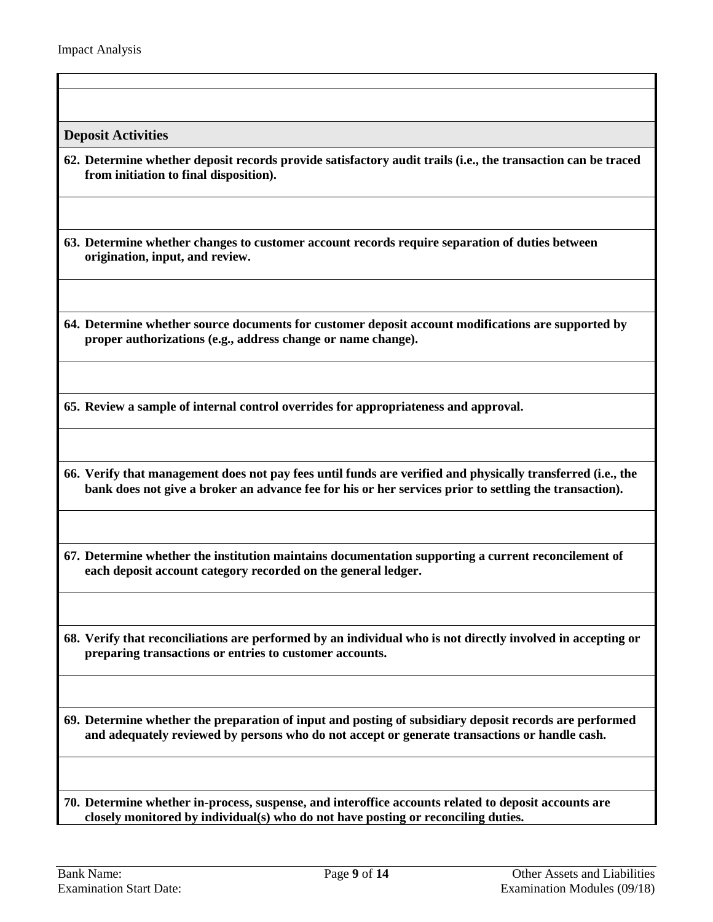**Deposit Activities**

**62. Determine whether deposit records provide satisfactory audit trails (i.e., the transaction can be traced from initiation to final disposition).**

**63. Determine whether changes to customer account records require separation of duties between origination, input, and review.**

**64. Determine whether source documents for customer deposit account modifications are supported by proper authorizations (e.g., address change or name change).**

**65. Review a sample of internal control overrides for appropriateness and approval.**

**66. Verify that management does not pay fees until funds are verified and physically transferred (i.e., the bank does not give a broker an advance fee for his or her services prior to settling the transaction).**

**67. Determine whether the institution maintains documentation supporting a current reconcilement of each deposit account category recorded on the general ledger.**

**68. Verify that reconciliations are performed by an individual who is not directly involved in accepting or preparing transactions or entries to customer accounts.**

**69. Determine whether the preparation of input and posting of subsidiary deposit records are performed and adequately reviewed by persons who do not accept or generate transactions or handle cash.**

**70. Determine whether in-process, suspense, and interoffice accounts related to deposit accounts are closely monitored by individual(s) who do not have posting or reconciling duties.**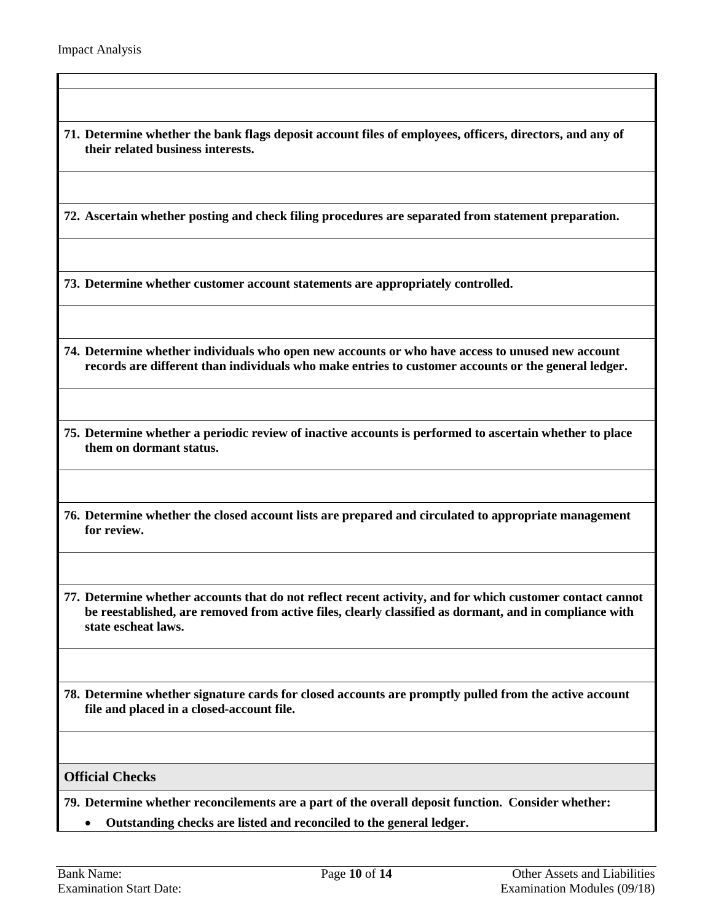**71. Determine whether the bank flags deposit account files of employees, officers, directors, and any of their related business interests.**

**72. Ascertain whether posting and check filing procedures are separated from statement preparation.**

**73. Determine whether customer account statements are appropriately controlled.**

- **74. Determine whether individuals who open new accounts or who have access to unused new account records are different than individuals who make entries to customer accounts or the general ledger.**
- **75. Determine whether a periodic review of inactive accounts is performed to ascertain whether to place them on dormant status.**
- **76. Determine whether the closed account lists are prepared and circulated to appropriate management for review.**
- **77. Determine whether accounts that do not reflect recent activity, and for which customer contact cannot be reestablished, are removed from active files, clearly classified as dormant, and in compliance with state escheat laws.**
- **78. Determine whether signature cards for closed accounts are promptly pulled from the active account file and placed in a closed-account file.**

#### **Official Checks**

**79. Determine whether reconcilements are a part of the overall deposit function. Consider whether:**

• **Outstanding checks are listed and reconciled to the general ledger.**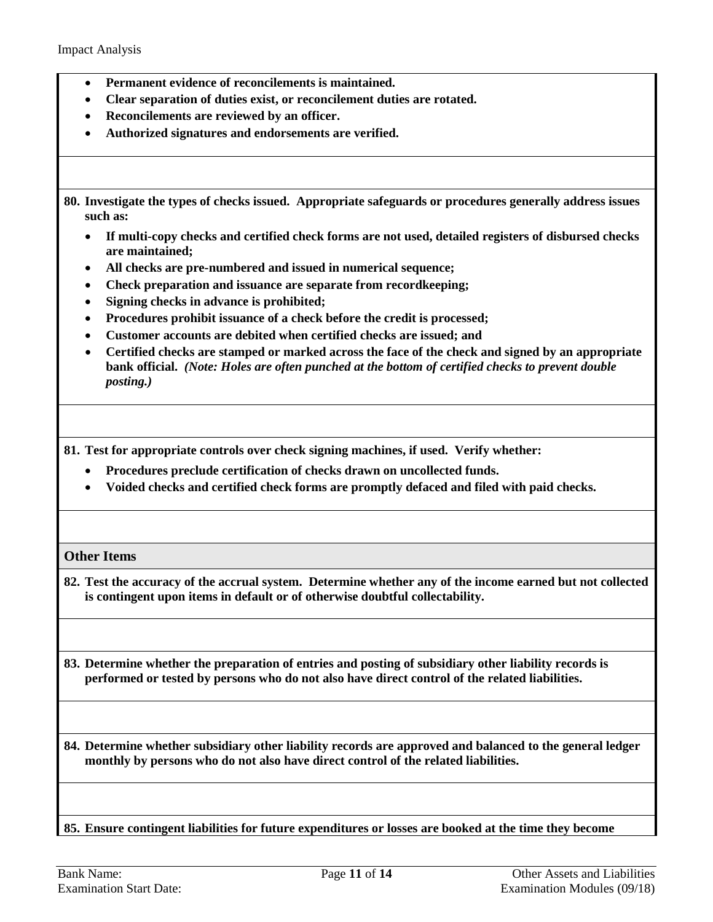- **Permanent evidence of reconcilements is maintained.**
- **Clear separation of duties exist, or reconcilement duties are rotated.**
- **Reconcilements are reviewed by an officer.**
- **Authorized signatures and endorsements are verified.**

**80. Investigate the types of checks issued. Appropriate safeguards or procedures generally address issues such as:**

- **If multi-copy checks and certified check forms are not used, detailed registers of disbursed checks are maintained;**
- **All checks are pre-numbered and issued in numerical sequence;**
- **Check preparation and issuance are separate from recordkeeping;**
- **Signing checks in advance is prohibited;**
- **Procedures prohibit issuance of a check before the credit is processed;**
- **Customer accounts are debited when certified checks are issued; and**
- **Certified checks are stamped or marked across the face of the check and signed by an appropriate bank official.** *(Note: Holes are often punched at the bottom of certified checks to prevent double posting.)*

**81. Test for appropriate controls over check signing machines, if used. Verify whether:**

- **Procedures preclude certification of checks drawn on uncollected funds.**
- **Voided checks and certified check forms are promptly defaced and filed with paid checks.**

#### **Other Items**

**82. Test the accuracy of the accrual system. Determine whether any of the income earned but not collected is contingent upon items in default or of otherwise doubtful collectability.**

**83. Determine whether the preparation of entries and posting of subsidiary other liability records is performed or tested by persons who do not also have direct control of the related liabilities.**

**84. Determine whether subsidiary other liability records are approved and balanced to the general ledger monthly by persons who do not also have direct control of the related liabilities.**

**85. Ensure contingent liabilities for future expenditures or losses are booked at the time they become**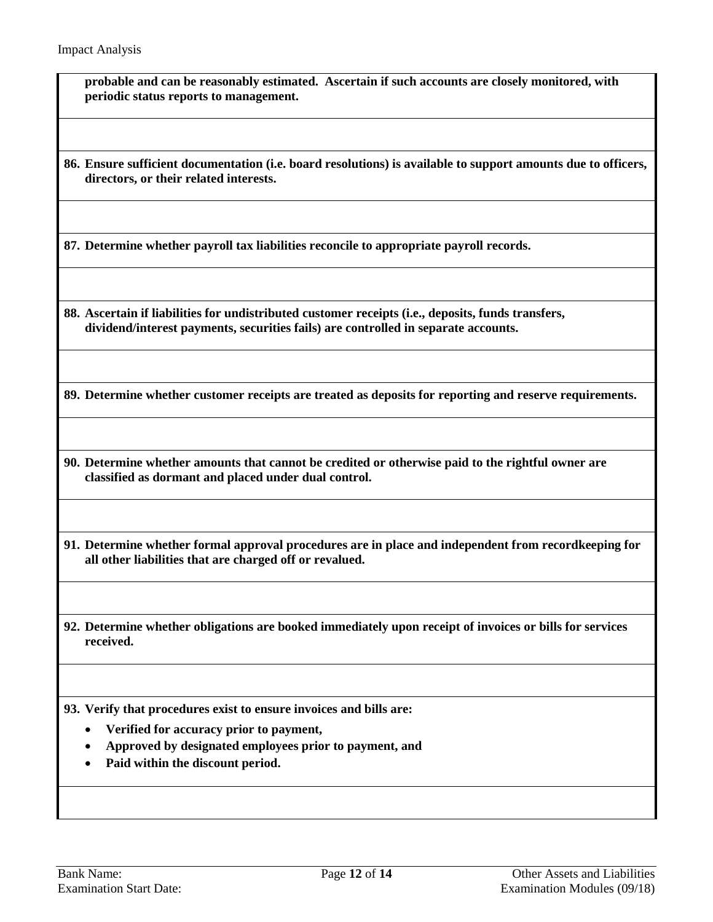**probable and can be reasonably estimated. Ascertain if such accounts are closely monitored, with periodic status reports to management.**

**86. Ensure sufficient documentation (i.e. board resolutions) is available to support amounts due to officers, directors, or their related interests.**

**87. Determine whether payroll tax liabilities reconcile to appropriate payroll records.**

**88. Ascertain if liabilities for undistributed customer receipts (i.e., deposits, funds transfers, dividend/interest payments, securities fails) are controlled in separate accounts.**

**89. Determine whether customer receipts are treated as deposits for reporting and reserve requirements.**

**90. Determine whether amounts that cannot be credited or otherwise paid to the rightful owner are classified as dormant and placed under dual control.**

**91. Determine whether formal approval procedures are in place and independent from recordkeeping for all other liabilities that are charged off or revalued.**

**92. Determine whether obligations are booked immediately upon receipt of invoices or bills for services received.**

**93. Verify that procedures exist to ensure invoices and bills are:**

- **Verified for accuracy prior to payment,**
- **Approved by designated employees prior to payment, and**
- **Paid within the discount period.**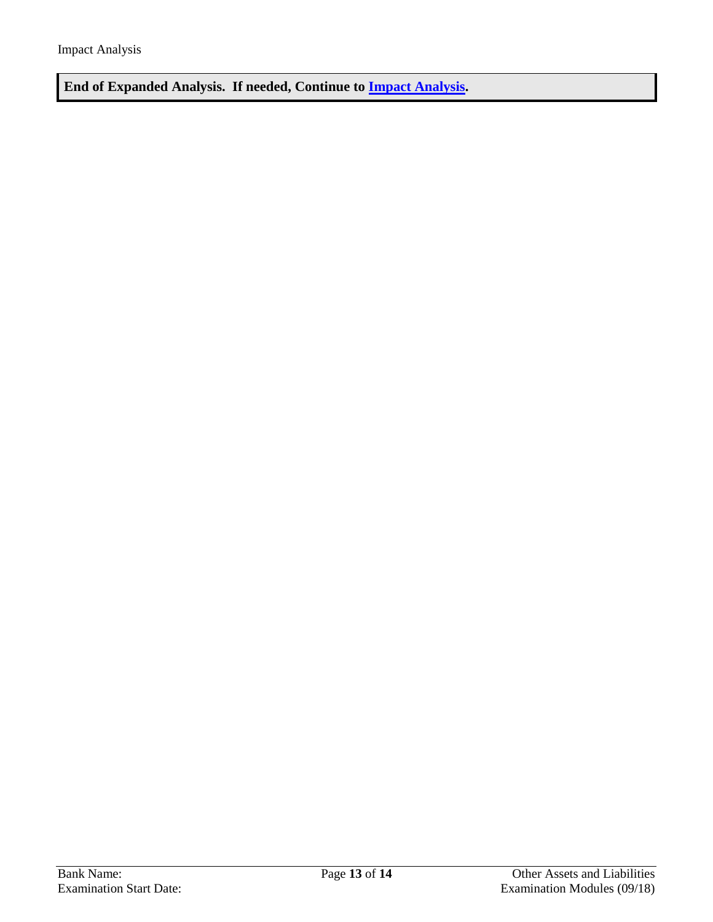**End of Expanded Analysis. If needed, Continue to [Impact Analysis.](#page-13-0)**